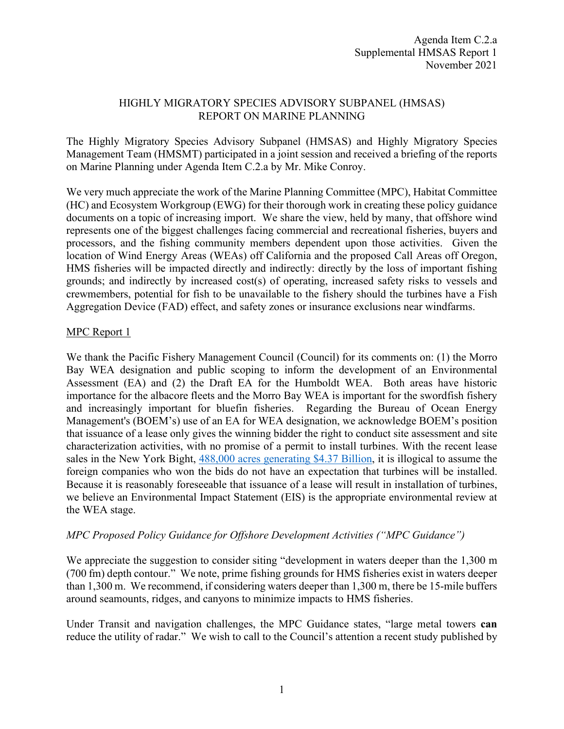### HIGHLY MIGRATORY SPECIES ADVISORY SUBPANEL (HMSAS) REPORT ON MARINE PLANNING

The Highly Migratory Species Advisory Subpanel (HMSAS) and Highly Migratory Species Management Team (HMSMT) participated in a joint session and received a briefing of the reports on Marine Planning under Agenda Item C.2.a by Mr. Mike Conroy.

We very much appreciate the work of the Marine Planning Committee (MPC), Habitat Committee (HC) and Ecosystem Workgroup (EWG) for their thorough work in creating these policy guidance documents on a topic of increasing import. We share the view, held by many, that offshore wind represents one of the biggest challenges facing commercial and recreational fisheries, buyers and processors, and the fishing community members dependent upon those activities. Given the location of Wind Energy Areas (WEAs) off California and the proposed Call Areas off Oregon, HMS fisheries will be impacted directly and indirectly: directly by the loss of important fishing grounds; and indirectly by increased cost(s) of operating, increased safety risks to vessels and crewmembers, potential for fish to be unavailable to the fishery should the turbines have a Fish Aggregation Device (FAD) effect, and safety zones or insurance exclusions near windfarms.

### MPC Report 1

We thank the Pacific Fishery Management Council (Council) for its comments on: (1) the Morro Bay WEA designation and public scoping to inform the development of an Environmental Assessment (EA) and (2) the Draft EA for the Humboldt WEA. Both areas have historic importance for the albacore fleets and the Morro Bay WEA is important for the swordfish fishery and increasingly important for bluefin fisheries. Regarding the Bureau of Ocean Energy Management's (BOEM's) use of an EA for WEA designation, we acknowledge BOEM's position that issuance of a lease only gives the winning bidder the right to conduct site assessment and site characterization activities, with no promise of a permit to install turbines. With the recent lease sales in the New York Bight, [488,000 acres generating \\$4.37 Billion,](https://www.doi.gov/pressreleases/biden-harris-administration-sets-offshore-energy-records-437-billion-winning-bids-wind) it is illogical to assume the foreign companies who won the bids do not have an expectation that turbines will be installed. Because it is reasonably foreseeable that issuance of a lease will result in installation of turbines, we believe an Environmental Impact Statement (EIS) is the appropriate environmental review at the WEA stage.

## *MPC Proposed Policy Guidance for Offshore Development Activities ("MPC Guidance")*

We appreciate the suggestion to consider siting "development in waters deeper than the 1,300 m (700 fm) depth contour." We note, prime fishing grounds for HMS fisheries exist in waters deeper than 1,300 m. We recommend, if considering waters deeper than 1,300 m, there be 15-mile buffers around seamounts, ridges, and canyons to minimize impacts to HMS fisheries.

Under Transit and navigation challenges, the MPC Guidance states, "large metal towers **can**  reduce the utility of radar." We wish to call to the Council's attention a recent study published by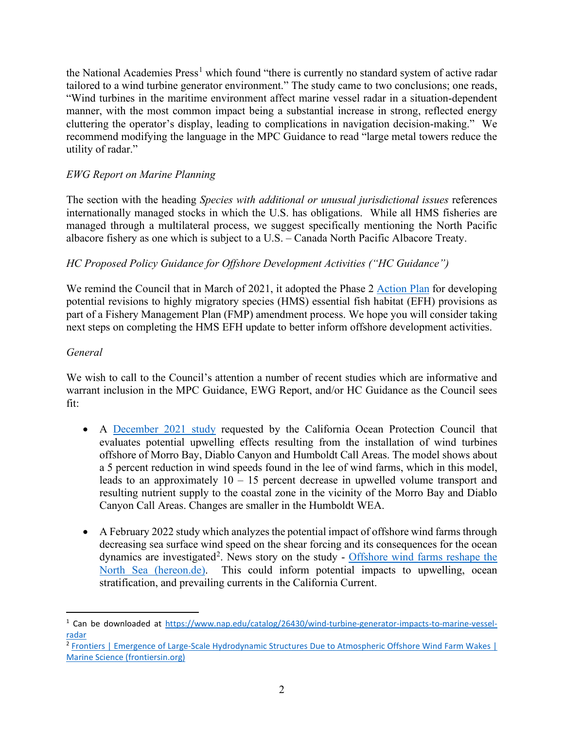the National Academies  $Press<sup>1</sup>$  $Press<sup>1</sup>$  $Press<sup>1</sup>$  which found "there is currently no standard system of active radar tailored to a wind turbine generator environment." The study came to two conclusions; one reads, "Wind turbines in the maritime environment affect marine vessel radar in a situation-dependent manner, with the most common impact being a substantial increase in strong, reflected energy cluttering the operator's display, leading to complications in navigation decision-making." We recommend modifying the language in the MPC Guidance to read "large metal towers reduce the utility of radar."

# *EWG Report on Marine Planning*

The section with the heading *Species with additional or unusual jurisdictional issues* references internationally managed stocks in which the U.S. has obligations. While all HMS fisheries are managed through a multilateral process, we suggest specifically mentioning the North Pacific albacore fishery as one which is subject to a U.S. – Canada North Pacific Albacore Treaty.

# *HC Proposed Policy Guidance for Offshore Development Activities ("HC Guidance")*

We remind the Council that in March of 2021, it adopted the Phase 2 [Action Plan](https://www.pcouncil.org/documents/2021/02/h-2-attachment-1-phase-2-action-plan-for-highly-migratory-species-essential-fish-habitat-review.pdf/) for developing potential revisions to highly migratory species (HMS) essential fish habitat (EFH) provisions as part of a Fishery Management Plan (FMP) amendment process. We hope you will consider taking next steps on completing the HMS EFH update to better inform offshore development activities.

## *General*

We wish to call to the Council's attention a number of recent studies which are informative and warrant inclusion in the MPC Guidance, EWG Report, and/or HC Guidance as the Council sees fit:

- A [December 2021 study](https://www.opc.ca.gov/webmaster/_media_library/2022/02/C0210404_FinalReport_12312021.pdf) requested by the California Ocean Protection Council that evaluates potential upwelling effects resulting from the installation of wind turbines offshore of Morro Bay, Diablo Canyon and Humboldt Call Areas. The model shows about a 5 percent reduction in wind speeds found in the lee of wind farms, which in this model, leads to an approximately 10 – 15 percent decrease in upwelled volume transport and resulting nutrient supply to the coastal zone in the vicinity of the Morro Bay and Diablo Canyon Call Areas. Changes are smaller in the Humboldt WEA.
- A February 2022 study which analyzes the potential impact of offshore wind farms through decreasing sea surface wind speed on the shear forcing and its consequences for the ocean dynamics are investigated<sup>[2](#page-1-1)</sup>. News story on the study - Offshore wind farms reshape the [North Sea \(hereon.de\).](https://nam04.safelinks.protection.outlook.com/?url=https%3A%2F%2Fwww.hereon.de%2Finnovation_transfer%2Fcommunication_media%2Fnews%2F104924%2Findex.php.en%3Ffbclid%3DIwAR1PGPxJezShcQi6lp4ueLZ2pC5fnpmLkktS1pHGlPuOnNZrZka0F2bwCjg&data=04%7C01%7Cflaxen.conway%40oregonstate.edu%7C794f17fbf7f54cc92bba08da00699fd0%7Cce6d05e13c5e4d6287a84c4a2713c113%7C0%7C0%7C637822750898077567%7CUnknown%7CTWFpbGZsb3d8eyJWIjoiMC4wLjAwMDAiLCJQIjoiV2luMzIiLCJBTiI6Ik1haWwiLCJXVCI6Mn0%3D%7C3000&sdata=FB%2BOc%2FpH02090xuEjm2CigzlhahJuOsxBlN14kOZUto%3D&reserved=0) This could inform potential impacts to upwelling, ocean stratification, and prevailing currents in the California Current.

<span id="page-1-0"></span><sup>1</sup> Can be downloaded at [https://www.nap.edu/catalog/26430/wind-turbine-generator-impacts-to-marine-vessel](https://www.nap.edu/catalog/26430/wind-turbine-generator-impacts-to-marine-vessel-radar)[radar](https://www.nap.edu/catalog/26430/wind-turbine-generator-impacts-to-marine-vessel-radar)

<span id="page-1-1"></span><sup>2</sup> [Frontiers | Emergence of Large-Scale Hydrodynamic Structures Due to Atmospheric Offshore Wind Farm Wakes |](https://www.frontiersin.org/articles/10.3389/fmars.2022.818501/full)  [Marine Science \(frontiersin.org\)](https://www.frontiersin.org/articles/10.3389/fmars.2022.818501/full)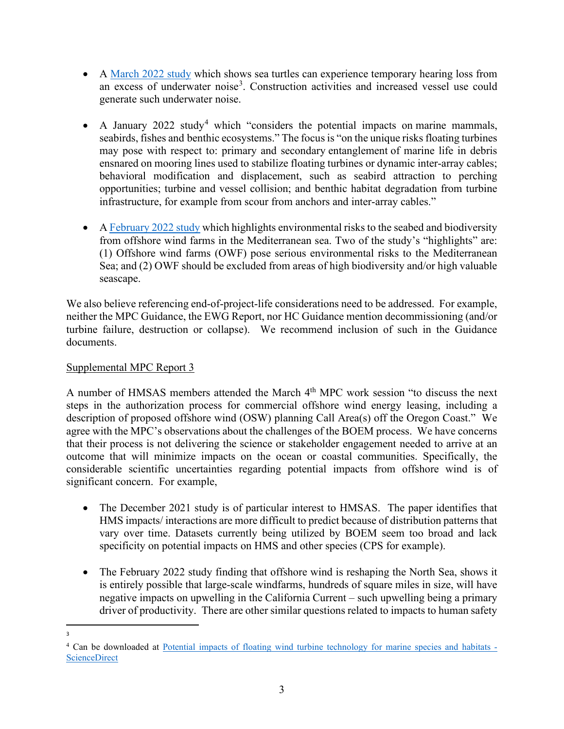- A [March 2022 study](https://www.sciencedaily.com/releases/2022/03/220302190004.htm) which shows sea turtles can experience temporary hearing loss from an excess of underwater noise<sup>[3](#page-2-0)</sup>. Construction activities and increased vessel use could generate such underwater noise.
- A January 2022 study<sup>[4](#page-2-1)</sup> which "considers the potential impacts on marine mammals, seabirds, fishes and benthic ecosystems." The focus is "on the unique risks floating turbines may pose with respect to: primary and secondary entanglement of marine life in debris ensnared on mooring lines used to stabilize floating turbines or dynamic inter-array cables; behavioral modification and displacement, such as seabird attraction to perching opportunities; turbine and vessel collision; and benthic habitat degradation from turbine infrastructure, for example from scour from anchors and inter-array cables."
- A [February 2022 study](https://docs.wind-watch.org/eco-impacts-offshore-wind-farms-Mediterranean.pdf) which highlights environmental risks to the seabed and biodiversity from offshore wind farms in the Mediterranean sea. Two of the study's "highlights" are: (1) Offshore wind farms (OWF) pose serious environmental risks to the Mediterranean Sea; and (2) OWF should be excluded from areas of high biodiversity and/or high valuable seascape.

We also believe referencing end-of-project-life considerations need to be addressed. For example, neither the MPC Guidance, the EWG Report, nor HC Guidance mention decommissioning (and/or turbine failure, destruction or collapse). We recommend inclusion of such in the Guidance documents.

## Supplemental MPC Report 3

A number of HMSAS members attended the March 4<sup>th</sup> MPC work session "to discuss the next steps in the authorization process for commercial offshore wind energy leasing, including a description of proposed offshore wind (OSW) planning Call Area(s) off the Oregon Coast." We agree with the MPC's observations about the challenges of the BOEM process. We have concerns that their process is not delivering the science or stakeholder engagement needed to arrive at an outcome that will minimize impacts on the ocean or coastal communities. Specifically, the considerable scientific uncertainties regarding potential impacts from offshore wind is of significant concern. For example,

- The December 2021 study is of particular interest to HMSAS. The paper identifies that HMS impacts/ interactions are more difficult to predict because of distribution patterns that vary over time. Datasets currently being utilized by BOEM seem too broad and lack specificity on potential impacts on HMS and other species (CPS for example).
- The February 2022 study finding that offshore wind is reshaping the North Sea, shows it is entirely possible that large-scale windfarms, hundreds of square miles in size, will have negative impacts on upwelling in the California Current – such upwelling being a primary driver of productivity. There are other similar questions related to impacts to human safety

<span id="page-2-0"></span><sup>3</sup>

<span id="page-2-1"></span><sup>&</sup>lt;sup>4</sup> Can be downloaded at [Potential impacts of floating wind turbine technology for marine species and habitats -](https://www.sciencedirect.com/science/article/pii/S0301479722001505?via%3Dihub) **[ScienceDirect](https://www.sciencedirect.com/science/article/pii/S0301479722001505?via%3Dihub)**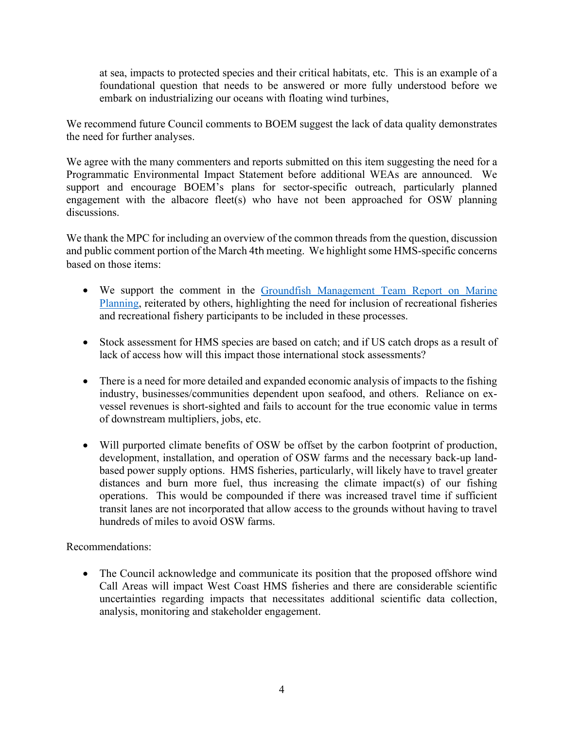at sea, impacts to protected species and their critical habitats, etc. This is an example of a foundational question that needs to be answered or more fully understood before we embark on industrializing our oceans with floating wind turbines,

We recommend future Council comments to BOEM suggest the lack of data quality demonstrates the need for further analyses.

We agree with the many commenters and reports submitted on this item suggesting the need for a Programmatic Environmental Impact Statement before additional WEAs are announced. We support and encourage BOEM's plans for sector-specific outreach, particularly planned engagement with the albacore fleet(s) who have not been approached for OSW planning discussions.

We thank the MPC for including an overview of the common threads from the question, discussion and public comment portion of the March 4th meeting. We highlight some HMS-specific concerns based on those items:

- We support the comment in the Groundfish Management Team Report on Marine [Planning,](https://www.pcouncil.org/documents/2022/03/c-2-a-supplemental-gmt-report-1-3.pdf/) reiterated by others, highlighting the need for inclusion of recreational fisheries and recreational fishery participants to be included in these processes.
- Stock assessment for HMS species are based on catch; and if US catch drops as a result of lack of access how will this impact those international stock assessments?
- There is a need for more detailed and expanded economic analysis of impacts to the fishing industry, businesses/communities dependent upon seafood, and others. Reliance on exvessel revenues is short-sighted and fails to account for the true economic value in terms of downstream multipliers, jobs, etc.
- Will purported climate benefits of OSW be offset by the carbon footprint of production, development, installation, and operation of OSW farms and the necessary back-up landbased power supply options. HMS fisheries, particularly, will likely have to travel greater distances and burn more fuel, thus increasing the climate impact(s) of our fishing operations. This would be compounded if there was increased travel time if sufficient transit lanes are not incorporated that allow access to the grounds without having to travel hundreds of miles to avoid OSW farms.

Recommendations:

• The Council acknowledge and communicate its position that the proposed offshore wind Call Areas will impact West Coast HMS fisheries and there are considerable scientific uncertainties regarding impacts that necessitates additional scientific data collection, analysis, monitoring and stakeholder engagement.